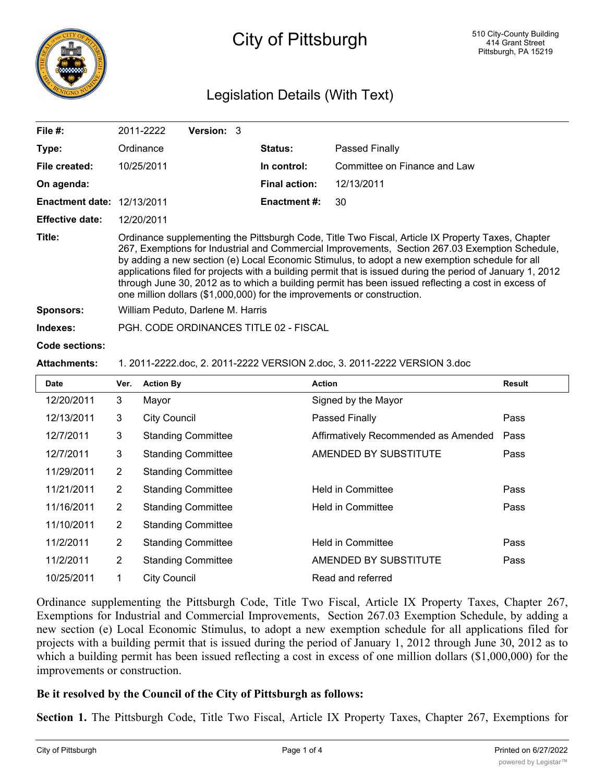

# City of Pittsburgh

# Legislation Details (With Text)

| File $#$ :                        | 2011-2222                                                                                                                                                                                                                                                                                                                                                                                                                                                                                                                                                                                            | <b>Version: 3</b> |  |                      |                              |  |  |
|-----------------------------------|------------------------------------------------------------------------------------------------------------------------------------------------------------------------------------------------------------------------------------------------------------------------------------------------------------------------------------------------------------------------------------------------------------------------------------------------------------------------------------------------------------------------------------------------------------------------------------------------------|-------------------|--|----------------------|------------------------------|--|--|
| Type:                             | Ordinance                                                                                                                                                                                                                                                                                                                                                                                                                                                                                                                                                                                            |                   |  | <b>Status:</b>       | Passed Finally               |  |  |
| File created:                     | 10/25/2011                                                                                                                                                                                                                                                                                                                                                                                                                                                                                                                                                                                           |                   |  | In control:          | Committee on Finance and Law |  |  |
| On agenda:                        |                                                                                                                                                                                                                                                                                                                                                                                                                                                                                                                                                                                                      |                   |  | <b>Final action:</b> | 12/13/2011                   |  |  |
| <b>Enactment date: 12/13/2011</b> |                                                                                                                                                                                                                                                                                                                                                                                                                                                                                                                                                                                                      |                   |  | <b>Enactment #:</b>  | 30                           |  |  |
| <b>Effective date:</b>            | 12/20/2011                                                                                                                                                                                                                                                                                                                                                                                                                                                                                                                                                                                           |                   |  |                      |                              |  |  |
| Title:                            | Ordinance supplementing the Pittsburgh Code, Title Two Fiscal, Article IX Property Taxes, Chapter<br>267, Exemptions for Industrial and Commercial Improvements, Section 267.03 Exemption Schedule,<br>by adding a new section (e) Local Economic Stimulus, to adopt a new exemption schedule for all<br>applications filed for projects with a building permit that is issued during the period of January 1, 2012<br>through June 30, 2012 as to which a building permit has been issued reflecting a cost in excess of<br>one million dollars (\$1,000,000) for the improvements or construction. |                   |  |                      |                              |  |  |
| <b>Sponsors:</b>                  | William Peduto, Darlene M. Harris                                                                                                                                                                                                                                                                                                                                                                                                                                                                                                                                                                    |                   |  |                      |                              |  |  |
| Indexes:                          | PGH, CODE ORDINANCES TITLE 02 - FISCAL                                                                                                                                                                                                                                                                                                                                                                                                                                                                                                                                                               |                   |  |                      |                              |  |  |
| Code sections:                    |                                                                                                                                                                                                                                                                                                                                                                                                                                                                                                                                                                                                      |                   |  |                      |                              |  |  |

#### **Attachments:** 1. 2011-2222.doc, 2. 2011-2222 VERSION 2.doc, 3. 2011-2222 VERSION 3.doc

| <b>Date</b> | Ver.           | <b>Action By</b>          | <b>Action</b>                        | Result |
|-------------|----------------|---------------------------|--------------------------------------|--------|
| 12/20/2011  | 3              | Mayor                     | Signed by the Mayor                  |        |
| 12/13/2011  | 3              | <b>City Council</b>       | Passed Finally                       | Pass   |
| 12/7/2011   | 3              | <b>Standing Committee</b> | Affirmatively Recommended as Amended | Pass   |
| 12/7/2011   | 3              | <b>Standing Committee</b> | AMENDED BY SUBSTITUTE                | Pass   |
| 11/29/2011  | $\overline{2}$ | <b>Standing Committee</b> |                                      |        |
| 11/21/2011  | $\overline{2}$ | <b>Standing Committee</b> | <b>Held in Committee</b>             | Pass   |
| 11/16/2011  | $\overline{2}$ | <b>Standing Committee</b> | Held in Committee                    | Pass   |
| 11/10/2011  | $\overline{2}$ | <b>Standing Committee</b> |                                      |        |
| 11/2/2011   | $\overline{2}$ | <b>Standing Committee</b> | <b>Held in Committee</b>             | Pass   |
| 11/2/2011   | 2              | <b>Standing Committee</b> | AMENDED BY SUBSTITUTE                | Pass   |
| 10/25/2011  |                | <b>City Council</b>       | Read and referred                    |        |

Ordinance supplementing the Pittsburgh Code, Title Two Fiscal, Article IX Property Taxes, Chapter 267, Exemptions for Industrial and Commercial Improvements, Section 267.03 Exemption Schedule, by adding a new section (e) Local Economic Stimulus, to adopt a new exemption schedule for all applications filed for projects with a building permit that is issued during the period of January 1, 2012 through June 30, 2012 as to which a building permit has been issued reflecting a cost in excess of one million dollars (\$1,000,000) for the improvements or construction.

#### **Be it resolved by the Council of the City of Pittsburgh as follows:**

**Section 1.** The Pittsburgh Code, Title Two Fiscal, Article IX Property Taxes, Chapter 267, Exemptions for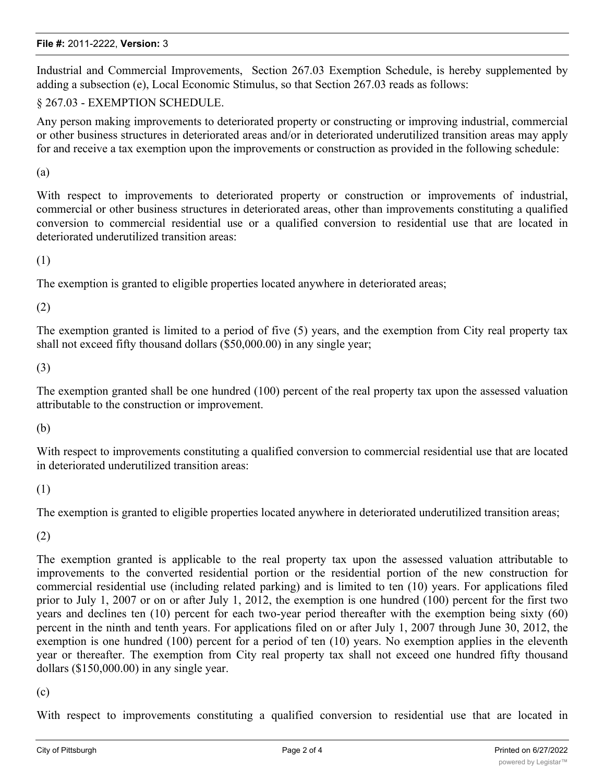#### **File #:** 2011-2222, **Version:** 3

Industrial and Commercial Improvements, Section 267.03 Exemption Schedule, is hereby supplemented by adding a subsection (e), Local Economic Stimulus, so that Section 267.03 reads as follows:

### § 267.03 - EXEMPTION SCHEDULE.

Any person making improvements to deteriorated property or constructing or improving industrial, commercial or other business structures in deteriorated areas and/or in deteriorated underutilized transition areas may apply for and receive a tax exemption upon the improvements or construction as provided in the following schedule:

(a)

With respect to improvements to deteriorated property or construction or improvements of industrial, commercial or other business structures in deteriorated areas, other than improvements constituting a qualified conversion to commercial residential use or a qualified conversion to residential use that are located in deteriorated underutilized transition areas:

(1)

The exemption is granted to eligible properties located anywhere in deteriorated areas;

(2)

The exemption granted is limited to a period of five (5) years, and the exemption from City real property tax shall not exceed fifty thousand dollars (\$50,000.00) in any single year;

(3)

The exemption granted shall be one hundred (100) percent of the real property tax upon the assessed valuation attributable to the construction or improvement.

(b)

With respect to improvements constituting a qualified conversion to commercial residential use that are located in deteriorated underutilized transition areas:

(1)

The exemption is granted to eligible properties located anywhere in deteriorated underutilized transition areas;

(2)

The exemption granted is applicable to the real property tax upon the assessed valuation attributable to improvements to the converted residential portion or the residential portion of the new construction for commercial residential use (including related parking) and is limited to ten (10) years. For applications filed prior to July 1, 2007 or on or after July 1, 2012, the exemption is one hundred (100) percent for the first two years and declines ten (10) percent for each two-year period thereafter with the exemption being sixty (60) percent in the ninth and tenth years. For applications filed on or after July 1, 2007 through June 30, 2012, the exemption is one hundred (100) percent for a period of ten (10) years. No exemption applies in the eleventh year or thereafter. The exemption from City real property tax shall not exceed one hundred fifty thousand dollars (\$150,000.00) in any single year.

#### (c)

With respect to improvements constituting a qualified conversion to residential use that are located in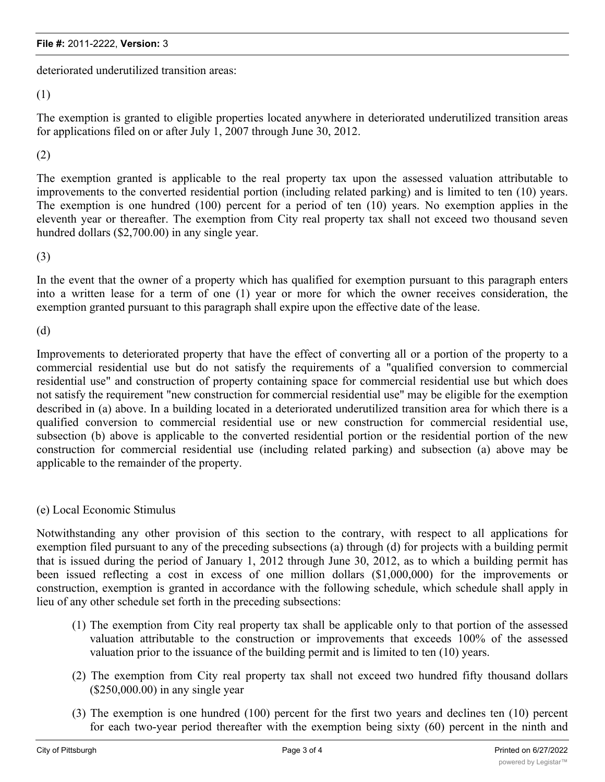## **File #:** 2011-2222, **Version:** 3

deteriorated underutilized transition areas:

(1)

The exemption is granted to eligible properties located anywhere in deteriorated underutilized transition areas for applications filed on or after July 1, 2007 through June 30, 2012.

### (2)

The exemption granted is applicable to the real property tax upon the assessed valuation attributable to improvements to the converted residential portion (including related parking) and is limited to ten (10) years. The exemption is one hundred (100) percent for a period of ten (10) years. No exemption applies in the eleventh year or thereafter. The exemption from City real property tax shall not exceed two thousand seven hundred dollars (\$2,700.00) in any single year.

(3)

In the event that the owner of a property which has qualified for exemption pursuant to this paragraph enters into a written lease for a term of one (1) year or more for which the owner receives consideration, the exemption granted pursuant to this paragraph shall expire upon the effective date of the lease.

(d)

Improvements to deteriorated property that have the effect of converting all or a portion of the property to a commercial residential use but do not satisfy the requirements of a "qualified conversion to commercial residential use" and construction of property containing space for commercial residential use but which does not satisfy the requirement "new construction for commercial residential use" may be eligible for the exemption described in (a) above. In a building located in a deteriorated underutilized transition area for which there is a qualified conversion to commercial residential use or new construction for commercial residential use, subsection (b) above is applicable to the converted residential portion or the residential portion of the new construction for commercial residential use (including related parking) and subsection (a) above may be applicable to the remainder of the property.

#### (e) Local Economic Stimulus

Notwithstanding any other provision of this section to the contrary, with respect to all applications for exemption filed pursuant to any of the preceding subsections (a) through (d) for projects with a building permit that is issued during the period of January 1, 2012 through June 30, 2012, as to which a building permit has been issued reflecting a cost in excess of one million dollars (\$1,000,000) for the improvements or construction, exemption is granted in accordance with the following schedule, which schedule shall apply in lieu of any other schedule set forth in the preceding subsections:

- (1) The exemption from City real property tax shall be applicable only to that portion of the assessed valuation attributable to the construction or improvements that exceeds 100% of the assessed valuation prior to the issuance of the building permit and is limited to ten (10) years.
- (2) The exemption from City real property tax shall not exceed two hundred fifty thousand dollars (\$250,000.00) in any single year
- (3) The exemption is one hundred (100) percent for the first two years and declines ten (10) percent for each two-year period thereafter with the exemption being sixty (60) percent in the ninth and